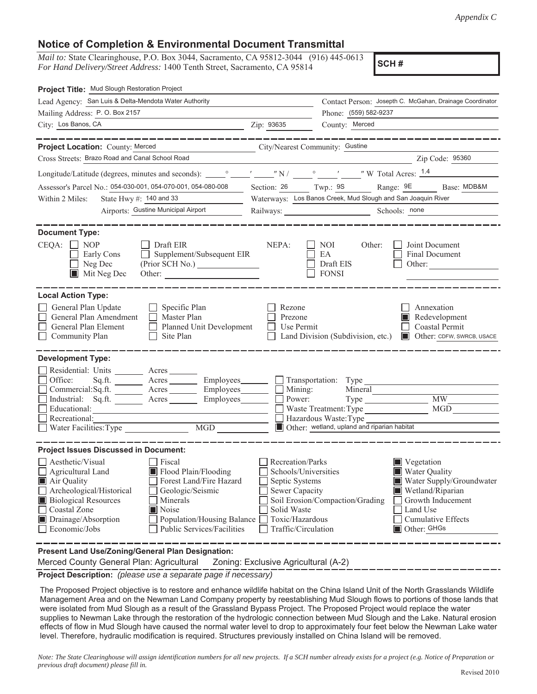## **Notice of Completion & Environmental Document Transmittal**

*Mail to:* State Clearinghouse, P.O. Box 3044, Sacramento, CA 95812-3044 (916) 445-0613 *For Hand Delivery/Street Address:* 1400 Tenth Street, Sacramento, CA 95814

**SCH #**

| Project Title: Mud Slough Restoration Project                                                                                                                                                                                                                 |                                                                                                                                 |                                                                                                                                                                                 |                                                          |                                                                     |                                                                                         |
|---------------------------------------------------------------------------------------------------------------------------------------------------------------------------------------------------------------------------------------------------------------|---------------------------------------------------------------------------------------------------------------------------------|---------------------------------------------------------------------------------------------------------------------------------------------------------------------------------|----------------------------------------------------------|---------------------------------------------------------------------|-----------------------------------------------------------------------------------------|
| Lead Agency: San Luis & Delta-Mendota Water Authority                                                                                                                                                                                                         |                                                                                                                                 |                                                                                                                                                                                 | Contact Person: Josepth C. McGahan, Drainage Coordinator |                                                                     |                                                                                         |
| Mailing Address: P.O. Box 2157                                                                                                                                                                                                                                |                                                                                                                                 |                                                                                                                                                                                 |                                                          | Phone: (559) 582-9237                                               |                                                                                         |
| City: Los Banos, CA                                                                                                                                                                                                                                           |                                                                                                                                 | Zip: 93635                                                                                                                                                                      | County: Merced                                           |                                                                     |                                                                                         |
|                                                                                                                                                                                                                                                               | ---------                                                                                                                       |                                                                                                                                                                                 |                                                          |                                                                     |                                                                                         |
| Project Location: County: Merced                                                                                                                                                                                                                              |                                                                                                                                 | City/Nearest Community: Gustine                                                                                                                                                 |                                                          |                                                                     |                                                                                         |
| Cross Streets: Brazo Road and Canal School Road                                                                                                                                                                                                               |                                                                                                                                 |                                                                                                                                                                                 |                                                          |                                                                     | Zip Code: 95360                                                                         |
|                                                                                                                                                                                                                                                               |                                                                                                                                 |                                                                                                                                                                                 |                                                          |                                                                     |                                                                                         |
| Assessor's Parcel No.: 054-030-001, 054-070-001, 054-080-008                                                                                                                                                                                                  |                                                                                                                                 | Section: 26 Twp.: 9S Range: 9E                                                                                                                                                  |                                                          |                                                                     | Base: MDB&M                                                                             |
| State Hwy #: 140 and 33<br>Within 2 Miles:                                                                                                                                                                                                                    |                                                                                                                                 |                                                                                                                                                                                 |                                                          | Waterways: Los Banos Creek, Mud Slough and San Joaquin River        |                                                                                         |
| Airports: Gustine Municipal Airport                                                                                                                                                                                                                           |                                                                                                                                 | Railways: New York 1988                                                                                                                                                         |                                                          | Schools: none                                                       |                                                                                         |
|                                                                                                                                                                                                                                                               |                                                                                                                                 |                                                                                                                                                                                 |                                                          |                                                                     |                                                                                         |
| <b>Document Type:</b>                                                                                                                                                                                                                                         |                                                                                                                                 |                                                                                                                                                                                 |                                                          |                                                                     |                                                                                         |
| $CEQA: \Box NOP$<br>Draft EIR<br>Early Cons<br>$\Box$<br>Supplement/Subsequent EIR                                                                                                                                                                            |                                                                                                                                 | NEPA:                                                                                                                                                                           | NOI<br>EA                                                | Other:                                                              | Joint Document<br>Final Document                                                        |
| Neg Dec                                                                                                                                                                                                                                                       | (Prior SCH No.)                                                                                                                 |                                                                                                                                                                                 | Draft EIS                                                | Other:                                                              |                                                                                         |
| $\blacksquare$ Mit Neg Dec                                                                                                                                                                                                                                    | Other:                                                                                                                          |                                                                                                                                                                                 | <b>FONSI</b>                                             |                                                                     |                                                                                         |
|                                                                                                                                                                                                                                                               |                                                                                                                                 |                                                                                                                                                                                 |                                                          |                                                                     |                                                                                         |
| <b>Local Action Type:</b><br>General Plan Update<br>$\Box$ Specific Plan<br>General Plan Amendment<br>Master Plan<br>$\Box$<br>General Plan Element<br>Community Plan<br>Site Plan                                                                            | Planned Unit Development                                                                                                        | Rezone<br>Prezone<br>Use Permit                                                                                                                                                 |                                                          | Land Division (Subdivision, etc.)                                   | Annexation<br>Redevelopment<br>Coastal Permit<br>Other: CDFW, SWRCB, USACE              |
| <b>Development Type:</b>                                                                                                                                                                                                                                      |                                                                                                                                 |                                                                                                                                                                                 |                                                          |                                                                     |                                                                                         |
| Residential: Units ________ Acres _______<br>Office:<br>Sq.fit.<br>Commercial:Sq.ft. ________ Acres ________ Employees___<br>Industrial: Sq.ft. Acres<br>Educational:<br>Recreational:                                                                        | Acres Employees<br>Employees                                                                                                    | Mining:<br>Power:                                                                                                                                                               | Transportation: Type<br>Hazardous Waste: Type            | Mineral<br>Waste Treatment: Type                                    | <b>MW</b><br>MGD                                                                        |
| Water Facilities: Type                                                                                                                                                                                                                                        | MGD                                                                                                                             |                                                                                                                                                                                 |                                                          | Other: wetland, upland and riparian habitat                         |                                                                                         |
| <b>Project Issues Discussed in Document:</b><br>Aesthetic/Visual<br>Fiscal<br>Agricultural Land<br>Air Quality<br>Archeological/Historical<br><b>Biological Resources</b><br>Minerals<br>Coastal Zone<br>Noise<br>Drainage/Absorption<br>$\Box$ Economic/Jobs | Flood Plain/Flooding<br>Forest Land/Fire Hazard<br>Geologic/Seismic<br>Population/Housing Balance<br>Public Services/Facilities | Recreation/Parks<br>Schools/Universities<br>Septic Systems<br><b>Sewer Capacity</b><br>Soil Erosion/Compaction/Grading<br>Solid Waste<br>Toxic/Hazardous<br>Traffic/Circulation |                                                          | Vegetation<br><b>Water Quality</b><br>ШI<br>Land Use<br>Other: GHGs | Water Supply/Groundwater<br>Wetland/Riparian<br>Growth Inducement<br>Cumulative Effects |
| Present Land Use/Zoning/General Plan Designation:                                                                                                                                                                                                             |                                                                                                                                 |                                                                                                                                                                                 |                                                          |                                                                     |                                                                                         |

Merced County General Plan: Agricultural Zoning: Exclusive Agricultural (A-2)

**Project Description:** *(please use a separate page if necessary)*

 The Proposed Project objective is to restore and enhance wildlife habitat on the China Island Unit of the North Grasslands Wildlife Management Area and on the Newman Land Company property by reestablishing Mud Slough flows to portions of those lands that were isolated from Mud Slough as a result of the Grassland Bypass Project. The Proposed Project would replace the water supplies to Newman Lake through the restoration of the hydrologic connection between Mud Slough and the Lake. Natural erosion effects of flow in Mud Slough have caused the normal water level to drop to approximately four feet below the Newman Lake water level. Therefore, hydraulic modification is required. Structures previously installed on China Island will be removed.

*Note: The State Clearinghouse will assign identification numbers for all new projects. If a SCH number already exists for a project (e.g. Notice of Preparation or previous draft document) please fill in.*